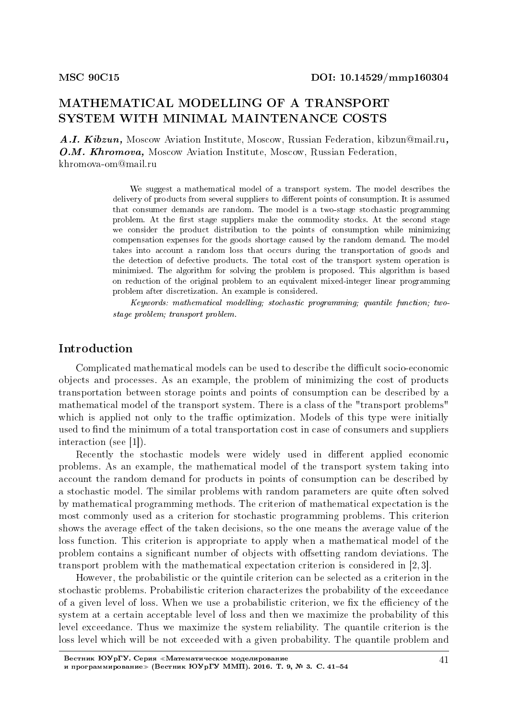# MATHEMATICAL MODELLING OF A TRANSPORT SYSTEM WITH MINIMAL MAINTENANCE COSTS

A.I. Kibzun, Moscow Aviation Institute, Moscow, Russian Federation, kibzun@mail.ru, O.M. Khromova, Moscow Aviation Institute, Moscow, Russian Federation, khromova-om@mail.ru

> We suggest a mathematical model of a transport system. The model describes the delivery of products from several suppliers to different points of consumption. It is assumed that consumer demands are random. The model is a two-stage stochastic programming problem. At the first stage suppliers make the commodity stocks. At the second stage we consider the product distribution to the points of consumption while minimizing compensation expenses for the goods shortage caused by the random demand. The model takes into account a random loss that occurs during the transportation of goods and the detection of defective products. The total cost of the transport system operation is minimized. The algorithm for solving the problem is proposed. This algorithm is based on reduction of the original problem to an equivalent mixed-integer linear programming problem after discretization. An example is considered.

> Keywords: mathematical modelling; stochastic programming; quantile function; twostage problem; transport problem.

## Introduction

Complicated mathematical models can be used to describe the difficult socio-economic objects and processes. As an example, the problem of minimizing the cost of products transportation between storage points and points of consumption can be described by a mathematical model of the transport system. There is a class of the "transport problems" which is applied not only to the traffic optimization. Models of this type were initially used to find the minimum of a total transportation cost in case of consumers and suppliers interaction (see [1]).

Recently the stochastic models were widely used in different applied economic problems. As an example, the mathematical model of the transport system taking into account the random demand for products in points of consumption can be described by a stochastic model. The similar problems with random parameters are quite often solved by mathematical programming methods. The criterion of mathematical expectation is the most commonly used as a criterion for stochastic programming problems. This criterion shows the average effect of the taken decisions, so the one means the average value of the loss function. This criterion is appropriate to apply when a mathematical model of the problem contains a significant number of objects with offsetting random deviations. The transport problem with the mathematical expectation criterion is considered in [2, 3].

However, the probabilistic or the quintile criterion can be selected as a criterion in the stochastic problems. Probabilistic criterion characterizes the probability of the exceedance of a given level of loss. When we use a probabilistic criterion, we fix the efficiency of the system at a certain acceptable level of loss and then we maximize the probability of this level exceedance. Thus we maximize the system reliability. The quantile criterion is the loss level which will be not exceeded with a given probability. The quantile problem and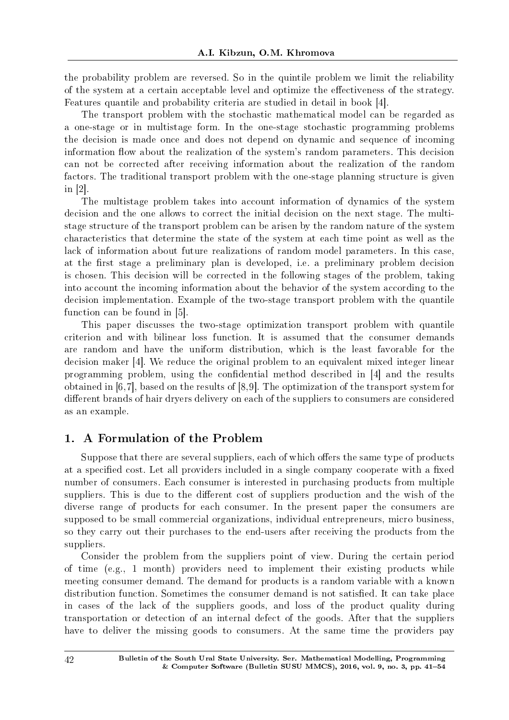the probability problem are reversed. So in the quintile problem we limit the reliability of the system at a certain acceptable level and optimize the effectiveness of the strategy. Features quantile and probability criteria are studied in detail in book [4].

The transport problem with the stochastic mathematical model can be regarded as a one-stage or in multistage form. In the one-stage stochastic programming problems the decision is made once and does not depend on dynamic and sequence of incoming information flow about the realization of the system's random parameters. This decision can not be corrected after receiving information about the realization of the random factors. The traditional transport problem with the one-stage planning structure is given in [2].

The multistage problem takes into account information of dynamics of the system decision and the one allows to correct the initial decision on the next stage. The multistage structure of the transport problem can be arisen by the random nature of the system characteristics that determine the state of the system at each time point as well as the lack of information about future realizations of random model parameters. In this case, at the first stage a preliminary plan is developed, i.e. a preliminary problem decision is chosen. This decision will be corrected in the following stages of the problem, taking into account the incoming information about the behavior of the system according to the decision implementation. Example of the two-stage transport problem with the quantile function can be found in [5].

This paper discusses the two-stage optimization transport problem with quantile criterion and with bilinear loss function. It is assumed that the consumer demands are random and have the uniform distribution, which is the least favorable for the decision maker [4]. We reduce the original problem to an equivalent mixed integer linear programming problem, using the condential method described in [4] and the results obtained in [6,7], based on the results of [8,9]. The optimization of the transport system for different brands of hair dryers delivery on each of the suppliers to consumers are considered as an example.

# 1. A Formulation of the Problem

Suppose that there are several suppliers, each of which offers the same type of products at a specified cost. Let all providers included in a single company cooperate with a fixed number of consumers. Each consumer is interested in purchasing products from multiple suppliers. This is due to the different cost of suppliers production and the wish of the diverse range of products for each consumer. In the present paper the consumers are supposed to be small commercial organizations, individual entrepreneurs, micro business, so they carry out their purchases to the end-users after receiving the products from the suppliers.

Consider the problem from the suppliers point of view. During the certain period of time (e.g., 1 month) providers need to implement their existing products while meeting consumer demand. The demand for products is a random variable with a known distribution function. Sometimes the consumer demand is not satisfied. It can take place in cases of the lack of the suppliers goods, and loss of the product quality during transportation or detection of an internal defect of the goods. After that the suppliers have to deliver the missing goods to consumers. At the same time the providers pay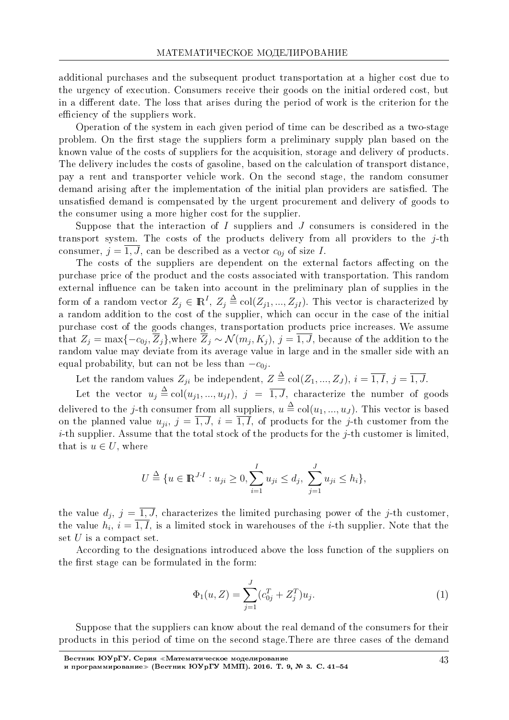additional purchases and the subsequent product transportation at a higher cost due to the urgency of execution. Consumers receive their goods on the initial ordered cost, but in a different date. The loss that arises during the period of work is the criterion for the efficiency of the suppliers work.

Operation of the system in each given period of time can be described as a two-stage problem. On the first stage the suppliers form a preliminary supply plan based on the known value of the costs of suppliers for the acquisition, storage and delivery of products. The delivery includes the costs of gasoline, based on the calculation of transport distance, pay a rent and transporter vehicle work. On the second stage, the random consumer demand arising after the implementation of the initial plan providers are satisfied. The unsatisfied demand is compensated by the urgent procurement and delivery of goods to the consumer using a more higher cost for the supplier.

Suppose that the interaction of *I* suppliers and *J* consumers is considered in the transport system. The costs of the products delivery from all providers to the *j*-th consumer,  $j = \overline{1, J}$ , can be described as a vector  $c_{0j}$  of size *I*.

The costs of the suppliers are dependent on the external factors affecting on the purchase price of the product and the costs associated with transportation. This random external influence can be taken into account in the preliminary plan of supplies in the form of a random vector  $Z_j \in \mathbb{R}^I$ ,  $Z_j \triangleq \text{col}(Z_{j1}, ..., Z_{jI})$ . This vector is characterized by a random addition to the cost of the supplier, which can occur in the case of the initial purchase cost of the goods changes, transportation products price increases. We assume that  $Z_j = \max\{-c_{0j}, Z_j\}$ , where  $Z_j \sim \mathcal{N}(m_j, K_j)$ ,  $j = 1, J$ , because of the addition to the random value may deviate from its average value in large and in the smaller side with an equal probability, but can not be less than *−c*0*<sup>j</sup>* .

Let the random values  $Z_{ji}$  be independent,  $Z \stackrel{\Delta}{=} \text{col}(Z_1, ..., Z_J), i = \overline{1, I}, j = \overline{1, J}.$ 

Let the vector  $u_j \triangleq col(u_{j1},...,u_{jI}),$   $j = \overline{1, J}$ , characterize the number of goods delivered to the *j*-th consumer from all suppliers,  $u \triangleq \text{col}(u_1, ..., u_J)$ . This vector is based on the planned value  $u_{ji}$ ,  $j = \overline{1, J}$ ,  $i = \overline{1, I}$ , of products for the *j*-th customer from the *i*-th supplier. Assume that the total stock of the products for the *j*-th customer is limited, that is  $u \in U$ , where

$$
U \stackrel{\Delta}{=} \{u \in \mathbb{R}^{J \cdot I} : u_{ji} \ge 0, \sum_{i=1}^{I} u_{ji} \le d_j, \sum_{j=1}^{J} u_{ji} \le h_i\},\
$$

the value  $d_j$ ,  $j = 1, J$ , characterizes the limited purchasing power of the *j*-th customer, the value  $h_i$ ,  $i = 1, I$ , is a limited stock in warehouses of the *i*-th supplier. Note that the set *U* is a compact set.

According to the designations introduced above the loss function of the suppliers on the first stage can be formulated in the form:

$$
\Phi_1(u, Z) = \sum_{j=1}^J (c_{0j}^T + Z_j^T) u_j.
$$
\n(1)

Suppose that the suppliers can know about the real demand of the consumers for their products in this period of time on the second stage.There are three cases of the demand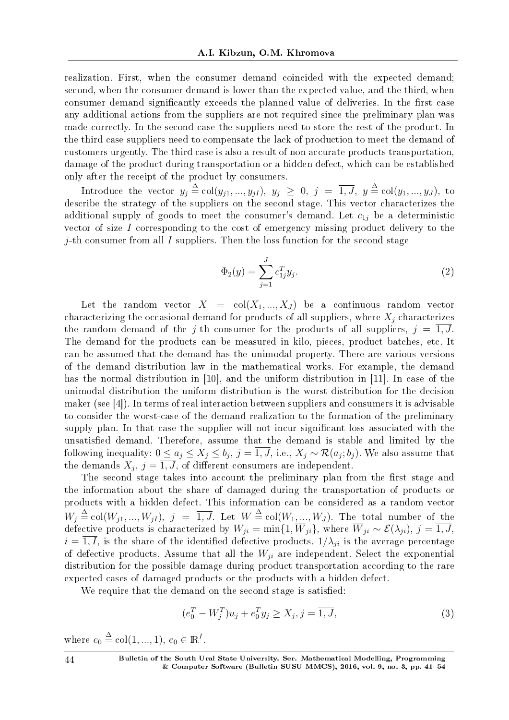realization. First, when the consumer demand coincided with the expected demand; second, when the consumer demand is lower than the expected value, and the third, when consumer demand significantly exceeds the planned value of deliveries. In the first case any additional actions from the suppliers are not required since the preliminary plan was made correctly. In the second case the suppliers need to store the rest of the product. In the third case suppliers need to compensate the lack of production to meet the demand of customers urgently. The third case is also a result of non accurate products transportation, damage of the product during transportation or a hidden defect, which can be established only after the receipt of the product by consumers.

Introduce the vector  $y_j \triangleq col(y_{j1},...,y_{jI}), y_j \geq 0, j = \overline{1, J}, y \triangleq col(y_1,...,y_J),$  to describe the strategy of the suppliers on the second stage. This vector characterizes the additional supply of goods to meet the consumer's demand. Let  $c_{1j}$  be a deterministic vector of size *I* corresponding to the cost of emergency missing product delivery to the *j*-th consumer from all *I* suppliers. Then the loss function for the second stage

$$
\Phi_2(y) = \sum_{j=1}^J c_{1j}^T y_j.
$$
\n(2)

Let the random vector  $X = col(X_1, ..., X_J)$  be a continuous random vector characterizing the occasional demand for products of all suppliers, where *X<sup>j</sup>* characterizes the random demand of the *j*-th consumer for the products of all suppliers,  $j = \overline{1, J}$ . The demand for the products can be measured in kilo, pieces, product batches, etc. It can be assumed that the demand has the unimodal property. There are various versions of the demand distribution law in the mathematical works. For example, the demand has the normal distribution in [10], and the uniform distribution in [11]. In case of the unimodal distribution the uniform distribution is the worst distribution for the decision maker (see [4]). In terms of real interaction between suppliers and consumers it is advisable to consider the worst-case of the demand realization to the formation of the preliminary supply plan. In that case the supplier will not incur signicant loss associated with the unsatisfied demand. Therefore, assume that the demand is stable and limited by the following inequality:  $0 \le a_j \le X_j \le b_j$ ,  $j = 1, J$ , i.e.,  $X_j \sim \mathcal{R}(a_j; b_j)$ . We also assume that the demands  $X_j$ ,  $j = 1, J$ , of different consumers are independent.

The second stage takes into account the preliminary plan from the first stage and the information about the share of damaged during the transportation of products or products with a hidden defect. This information can be considered as a random vector  $W_j \stackrel{\Delta}{=} \text{col}(W_{j1},...,W_{jI}),$   $j = \overline{1, J}$ . Let  $W \stackrel{\Delta}{=} \text{col}(W_1,...,W_J)$ . The total number of the defective products is characterized by  $W_{ji} = \min\{1, W_{ji}\}$ , where  $W_{ji} \sim \mathcal{E}(\lambda_{ji})$ ,  $j = 1, J$ ,  $i = \overline{1, I}$ , is the share of the identified defective products,  $1/\lambda_{ji}$  is the average percentage of defective products. Assume that all the *Wji* are independent. Select the exponential distribution for the possible damage during product transportation according to the rare expected cases of damaged products or the products with a hidden defect.

We require that the demand on the second stage is satisfied:

$$
(e_0^T - W_j^T)u_j + e_0^T y_j \ge X_j, j = \overline{1, J},
$$
\n(3)

where  $e_0 \triangleq \text{col}(1, ..., 1), e_0 \in \mathbb{R}^I$ .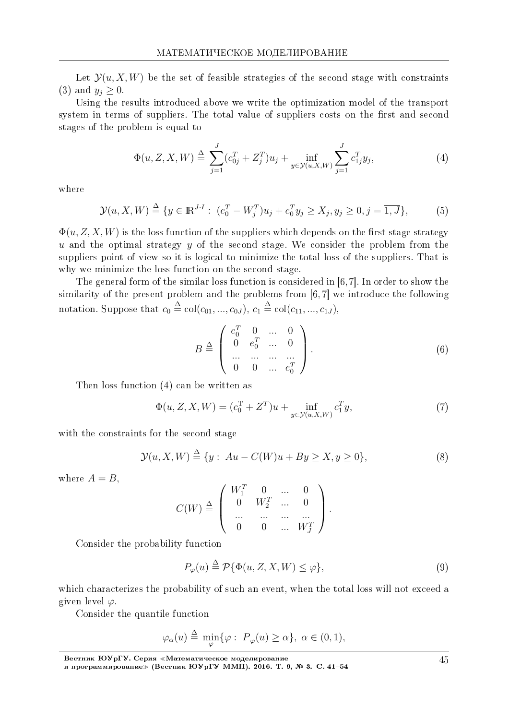Let  $\mathcal{Y}(u, X, W)$  be the set of feasible strategies of the second stage with constraints (3) and  $y_i \geq 0$ .

Using the results introduced above we write the optimization model of the transport system in terms of suppliers. The total value of suppliers costs on the first and second stages of the problem is equal to

$$
\Phi(u, Z, X, W) \stackrel{\Delta}{=} \sum_{j=1}^{J} (c_{0j}^T + Z_j^T) u_j + \inf_{y \in \mathcal{Y}(u, X, W)} \sum_{j=1}^{J} c_{1j}^T y_j,
$$
\n(4)

where

$$
\mathcal{Y}(u, X, W) \stackrel{\Delta}{=} \{ y \in \mathbb{R}^{J \cdot I} : (e_0^T - W_j^T)u_j + e_0^T y_j \ge X_j, y_j \ge 0, j = \overline{1, J} \},\tag{5}
$$

 $\Phi(u, Z, X, W)$  is the loss function of the suppliers which depends on the first stage strategy *u* and the optimal strategy *y* of the second stage. We consider the problem from the suppliers point of view so it is logical to minimize the total loss of the suppliers. That is why we minimize the loss function on the second stage.

The general form of the similar loss function is considered in [6,7]. In order to show the similarity of the present problem and the problems from [6, 7] we introduce the following notation. Suppose that  $c_0 \triangleq \text{col}(c_{01}, ..., c_{0J}), c_1 \triangleq \text{col}(c_{11}, ..., c_{1J}),$ 

$$
B \stackrel{\Delta}{=} \left( \begin{array}{cccc} e_0^T & 0 & \dots & 0 \\ 0 & e_0^T & \dots & 0 \\ \dots & \dots & \dots & \dots \\ 0 & 0 & \dots & e_0^T \end{array} \right). \tag{6}
$$

Then loss function (4) can be written as

$$
\Phi(u, Z, X, W) = (c_0^T + Z^T)u + \inf_{y \in \mathcal{Y}(u, X, W)} c_1^T y,
$$
\n(7)

with the constraints for the second stage

$$
\mathcal{Y}(u, X, W) \stackrel{\Delta}{=} \{y : Au - C(W)u + By \ge X, y \ge 0\},\tag{8}
$$

where  $A = B$ .

$$
C(W) \stackrel{\Delta}{=} \left( \begin{array}{cccc} W_1^T & 0 & \dots & 0 \\ 0 & W_2^T & \dots & 0 \\ \dots & \dots & \dots & \dots \\ 0 & 0 & \dots & W_J^T \end{array} \right).
$$

Consider the probability function

$$
P_{\varphi}(u) \stackrel{\Delta}{=} \mathcal{P}\{\Phi(u, Z, X, W) \le \varphi\},\tag{9}
$$

which characterizes the probability of such an event, when the total loss will not exceed a given level *φ*.

Consider the quantile function

$$
\varphi_{\alpha}(u) \stackrel{\Delta}{=} \min_{\varphi} \{ \varphi : P_{\varphi}(u) \ge \alpha \}, \ \alpha \in (0,1),
$$

Вестник ЮУрГУ. Серия «Математическое моделирование и программирование≫ (Вестник ЮУрГУ ММП). 2016. Т. 9, № 3. C. 41–54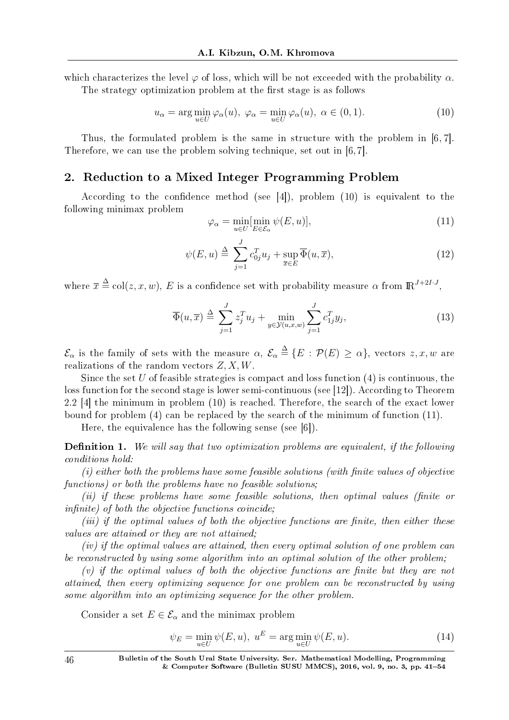which characterizes the level  $\varphi$  of loss, which will be not exceeded with the probability  $\alpha$ .

The strategy optimization problem at the first stage is as follows

$$
u_{\alpha} = \arg\min_{u \in U} \varphi_{\alpha}(u), \ \varphi_{\alpha} = \min_{u \in U} \varphi_{\alpha}(u), \ \alpha \in (0, 1). \tag{10}
$$

Thus, the formulated problem is the same in structure with the problem in [6, 7]. Therefore, we can use the problem solving technique, set out in [6, 7].

## 2. Reduction to a Mixed Integer Programming Problem

According to the confidence method (see  $[4]$ ), problem  $(10)$  is equivalent to the following minimax problem

$$
\varphi_{\alpha} = \min_{u \in U} [\min_{E \in \mathcal{E}_{\alpha}} \psi(E, u)], \tag{11}
$$

$$
\psi(E, u) \stackrel{\Delta}{=} \sum_{j=1}^{J} c_{0j}^{T} u_j + \sup_{\overline{x} \in E} \overline{\Phi}(u, \overline{x}), \tag{12}
$$

where  $\bar{x} \triangleq \text{col}(z, x, w)$ , *E* is a confidence set with probability measure  $\alpha$  from  $\mathbb{R}^{J+2I \cdot J}$ ,

$$
\overline{\Phi}(u,\overline{x}) \triangleq \sum_{j=1}^{J} z_j^T u_j + \min_{y \in \mathcal{Y}(u,x,w)} \sum_{j=1}^{J} c_{1j}^T y_j,
$$
\n(13)

 $\mathcal{E}_{\alpha}$  is the family of sets with the measure  $\alpha$ ,  $\mathcal{E}_{\alpha} \triangleq \{E : \mathcal{P}(E) \geq \alpha\}$ , vectors  $z, x, w$  are realizations of the random vectors *Z, X, W*.

Since the set *U* of feasible strategies is compact and loss function (4) is continuous, the loss function for the second stage is lower semi-continuous (see [12]). According to Theorem 2.2 [4] the minimum in problem (10) is reached. Therefore, the search of the exact lower bound for problem (4) can be replaced by the search of the minimum of function (11).

Here, the equivalence has the following sense (see [6]).

**Definition 1.** We will say that two optimization problems are equivalent, if the following conditions hold:

 $(i)$  either both the problems have some feasible solutions (with finite values of objective functions) or both the problems have no feasible solutions;

(ii) if these problems have some feasible solutions, then optimal values (finite or  $infinite$ ) of both the objective functions coincide;

 $(iii)$  if the optimal values of both the objective functions are finite, then either these values are attained or they are not attained;

(iv) if the optimal values are attained, then every optimal solution of one problem can be reconstructed by using some algorithm into an optimal solution of the other problem;

 $(v)$  if the optimal values of both the objective functions are finite but they are not attained, then every optimizing sequence for one problem can be reconstructed by using some algorithm into an optimizing sequence for the other problem.

Consider a set  $E \in \mathcal{E}_{\alpha}$  and the minimax problem

$$
\psi_E = \min_{u \in U} \psi(E, u), \ u^E = \arg\min_{u \in U} \psi(E, u). \tag{14}
$$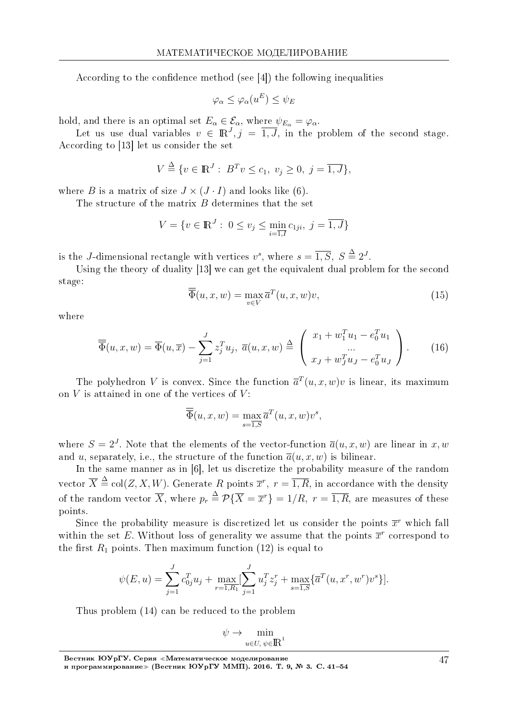According to the confidence method (see  $[4]$ ) the following inequalities

$$
\varphi_{\alpha} \leq \varphi_{\alpha}(u^{E}) \leq \psi_{E}
$$

hold, and there is an optimal set  $E_{\alpha} \in \mathcal{E}_{\alpha}$ , where  $\psi_{E_{\alpha}} = \varphi_{\alpha}$ .

Let us use dual variables  $v \in \mathbb{R}^J$ ,  $j = \overline{1, J}$ , in the problem of the second stage. According to [13] let us consider the set

$$
V \stackrel{\Delta}{=} \{ v \in \mathbb{R}^J : B^T v \le c_1, v_j \ge 0, j = \overline{1, J} \},\
$$

where *B* is a matrix of size  $J \times (J \cdot I)$  and looks like (6).

The structure of the matrix *B* determines that the set

$$
V = \{ v \in \mathbb{R}^J : 0 \le v_j \le \min_{i=\overline{1,I}} c_{1ji}, j = \overline{1,J} \}
$$

is the *J*-dimensional rectangle with vertices  $v^s$ , where  $s = \overline{1, S}$ ,  $S \stackrel{\Delta}{=} 2^J$ .

Using the theory of duality [13] we can get the equivalent dual problem for the second stage:

$$
\overline{\Phi}(u, x, w) = \max_{v \in V} \overline{a}^T(u, x, w)v,
$$
\n(15)

where

$$
\overline{\overline{\Phi}}(u,x,w) = \overline{\Phi}(u,\overline{x}) - \sum_{j=1}^{J} z_j^T u_j, \ \overline{a}(u,x,w) \stackrel{\Delta}{=} \begin{pmatrix} x_1 + w_1^T u_1 - e_0^T u_1 \\ \dots \\ x_J + w_J^T u_J - e_0^T u_J \end{pmatrix} . \tag{16}
$$

The polyhedron *V* is convex. Since the function  $\bar{a}^T(u, x, w)v$  is linear, its maximum on *V* is attained in one of the vertices of *V* :

$$
\overline{\overline{\Phi}}(u, x, w) = \max_{s=\overline{1, S}} \overline{a}^T(u, x, w)v^s,
$$

where  $S = 2<sup>J</sup>$ . Note that the elements of the vector-function  $\overline{a}(u, x, w)$  are linear in x, w and *u*, separately, i.e., the structure of the function  $\overline{a}(u, x, w)$  is bilinear.

In the same manner as in [6], let us discretize the probability measure of the random vector  $\overline{X} \triangleq \text{col}(Z, X, W)$ . Generate *R* points  $\overline{x}^r$ ,  $r = \overline{1, R}$ , in accordance with the density of the random vector  $\overline{X}$ , where  $p_r \stackrel{\Delta}{=} \mathcal{P}\{\overline{X} = \overline{x}^r\} = 1/R$ ,  $r = \overline{1, R}$ , are measures of these points.

Since the probability measure is discretized let us consider the points  $\bar{x}$ <sup>r</sup> which fall within the set E. Without loss of generality we assume that the points  $\bar{x}^r$  correspond to the first  $R_1$  points. Then maximum function  $(12)$  is equal to

$$
\psi(E, u) = \sum_{j=1}^{J} c_{0j}^{T} u_j + \max_{r=1, R_1} \left[ \sum_{j=1}^{J} u_j^{T} z_j^{r} + \max_{s=1, S} \{ \overline{a}^{T}(u, x^{r}, w^{r}) v^{s} \} \right].
$$

Thus problem (14) can be reduced to the problem

$$
\psi \to \min_{u \in U, \, \psi \in \mathbb{R}^1}
$$

Вестник ЮУрГУ. Серия «Математическое моделирование и программирование≫ (Вестник ЮУрГУ ММП). 2016. Т. 9, № 3. C. 41–54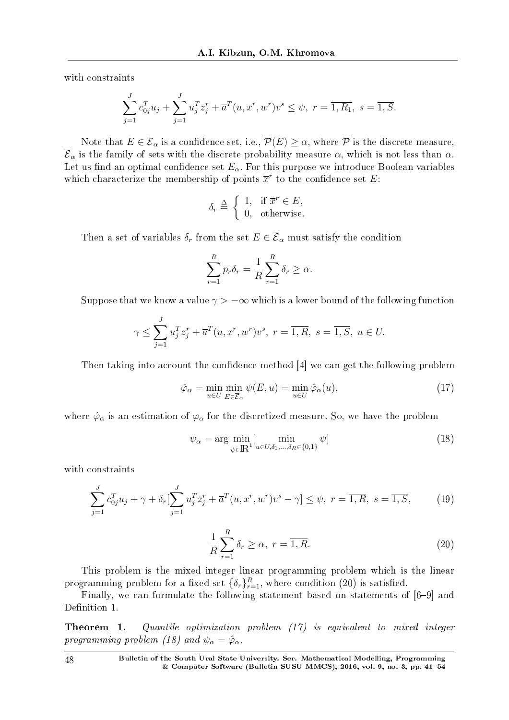with constraints

$$
\sum_{j=1}^{J} c_{0j}^{T} u_j + \sum_{j=1}^{J} u_j^{T} z_j^{r} + \overline{a}^{T} (u, x^{r}, w^{r}) v^{s} \leq \psi, r = \overline{1, R_1}, s = \overline{1, S}.
$$

Note that  $E \in \overline{\mathcal{E}}_{\alpha}$  is a confidence set, i.e.,  $\overline{\mathcal{P}}(E) \geq \alpha$ , where  $\overline{\mathcal{P}}$  is the discrete measure,  $\overline{\mathcal{E}}_{\alpha}$  is the family of sets with the discrete probability measure  $\alpha$ , which is not less than  $\alpha$ . Let us find an optimal confidence set  $E_\alpha$ . For this purpose we introduce Boolean variables which characterize the membership of points  $\bar{x}^r$  to the confidence set *E*:

$$
\delta_r \stackrel{\Delta}{=} \begin{cases} 1, & \text{if } \overline{x}^r \in E, \\ 0, & \text{otherwise.} \end{cases}
$$

Then a set of variables  $\delta_r$  from the set  $E \in \overline{\mathcal{E}}_{\alpha}$  must satisfy the condition

$$
\sum_{r=1}^{R} p_r \delta_r = \frac{1}{R} \sum_{r=1}^{R} \delta_r \ge \alpha.
$$

Suppose that we know a value  $\gamma$  >  $-\infty$  which is a lower bound of the following function

$$
\gamma \le \sum_{j=1}^{J} u_j^T z_j^r + \overline{a}^T(u, x^r, w^r) v^s, \ r = \overline{1, R}, \ s = \overline{1, S}, \ u \in U.
$$

Then taking into account the confidence method [4] we can get the following problem

$$
\hat{\varphi}_{\alpha} = \min_{u \in U} \min_{E \in \overline{\mathcal{E}}_{\alpha}} \psi(E, u) = \min_{u \in U} \hat{\varphi}_{\alpha}(u), \tag{17}
$$

where  $\hat{\varphi}_{\alpha}$  is an estimation of  $\varphi_{\alpha}$  for the discretized measure. So, we have the problem

$$
\psi_{\alpha} = \arg \min_{\psi \in \mathbb{R}^1} [\min_{u \in U, \delta_1, \dots, \delta_R \in \{0, 1\}} \psi] \tag{18}
$$

with constraints

$$
\sum_{j=1}^{J} c_{0j}^{T} u_j + \gamma + \delta_r \left[ \sum_{j=1}^{J} u_j^{T} z_j^{r} + \overline{a}^{T} (u, x^r, w^r) v^s - \gamma \right] \leq \psi, \ r = \overline{1, R}, \ s = \overline{1, S}, \tag{19}
$$

$$
\frac{1}{R} \sum_{r=1}^{R} \delta_r \ge \alpha, \ r = \overline{1, R}.
$$
\n(20)

This problem is the mixed integer linear programming problem which is the linear programming problem for a fixed set  $\{\delta_r\}_{r=1}^R$ , where condition (20) is satisfied.

Finally, we can formulate the following statement based on statements of  $[6-9]$  and Definition 1.

Theorem 1. Quantile optimization problem (17) is equivalent to mixed integer programming problem (18) and  $\psi_{\alpha} = \hat{\varphi}_{\alpha}$ .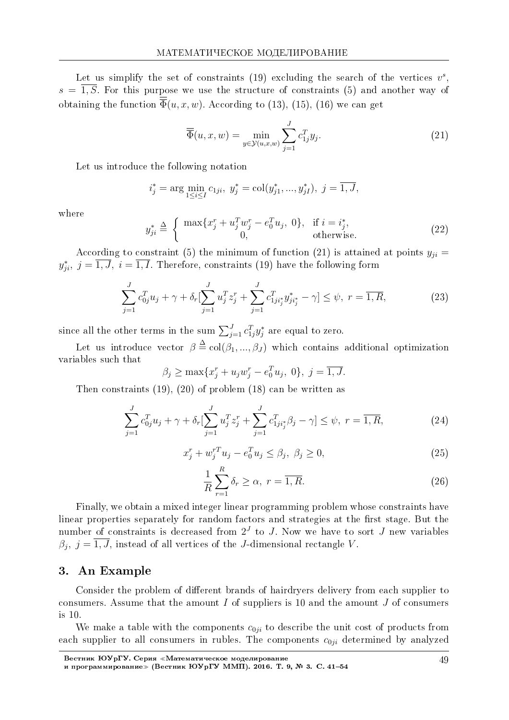Let us simplify the set of constraints  $(19)$  excluding the search of the vertices  $v^s$ ,  $s = \overline{1, S}$ . For this purpose we use the structure of constraints (5) and another way of obtaining the function  $\overline{\overline{\Phi}}(u, x, w)$ . According to (13), (15), (16) we can get

$$
\overline{\overline{\Phi}}(u,x,w) = \min_{y \in \mathcal{Y}(u,x,w)} \sum_{j=1}^{J} c_{1j}^T y_j.
$$
\n(21)

Let us introduce the following notation

$$
i_j^* = \arg \min_{1 \le i \le I} c_{1ji}, \ y_j^* = \text{col}(y_{j1}^*, ..., y_{jI}^*), \ j = \overline{1, J},
$$

where

$$
y_{ji}^{*} \triangleq \begin{cases} \max\{x_j^r + u_j^T w_j^r - e_0^T u_j, 0\}, & \text{if } i = i_j^*,\\ 0, & \text{otherwise.} \end{cases}
$$
 (22)

According to constraint (5) the minimum of function (21) is attained at points  $y_{ii} =$  $y_{ji}^*,\ j=\overline{1,J},\ i=\overline{1,I}.$  Therefore, constraints (19) have the following form

$$
\sum_{j=1}^{J} c_{0j}^{T} u_j + \gamma + \delta_r \left[ \sum_{j=1}^{J} u_j^{T} z_j^{r} + \sum_{j=1}^{J} c_{1ji_j^{*}}^{T} y_{ji_j^{*}}^{*} - \gamma \right] \leq \psi, \ r = \overline{1, R}, \tag{23}
$$

since all the other terms in the sum  $\sum_{j=1}^{J} c_{1j}^T y_j^*$  are equal to zero.

Let us introduce vector  $\beta \triangleq col(\beta_1, ..., \beta_J)$  which contains additional optimization variables such that

$$
\beta_j \ge \max\{x_j^r + u_j w_j^r - e_0^T u_j, 0\}, \ j = \overline{1, J}.
$$

Then constraints (19), (20) of problem (18) can be written as

$$
\sum_{j=1}^{J} c_{0j}^{T} u_j + \gamma + \delta_r \left[ \sum_{j=1}^{J} u_j^{T} z_j^{r} + \sum_{j=1}^{J} c_{1ji_j^{*}}^{T} \beta_j - \gamma \right] \leq \psi, \ r = \overline{1, R}, \tag{24}
$$

$$
x_j^r + w_j^{rT} u_j - e_0^T u_j \le \beta_j, \ \beta_j \ge 0,
$$
\n(25)

$$
\frac{1}{R} \sum_{r=1}^{R} \delta_r \ge \alpha, \ r = \overline{1, R}.
$$
\n(26)

Finally, we obtain a mixed integer linear programming problem whose constraints have linear properties separately for random factors and strategies at the first stage. But the number of constraints is decreased from  $2^J$  to *J*. Now we have to sort *J* new variables  $\beta_j$ ,  $j = 1, J$ , instead of all vertices of the *J*-dimensional rectangle *V*.

### 3. An Example

Consider the problem of different brands of hairdryers delivery from each supplier to consumers. Assume that the amount *I* of suppliers is 10 and the amount *J* of consumers is 10.

We make a table with the components  $c_{0ji}$  to describe the unit cost of products from each supplier to all consumers in rubles. The components  $c_{0ji}$  determined by analyzed

Вестник ЮУрГУ. Серия «Математическое моделирование и программирование≫ (Вестник ЮУрГУ ММП). 2016. Т. 9, № 3. C. 41–54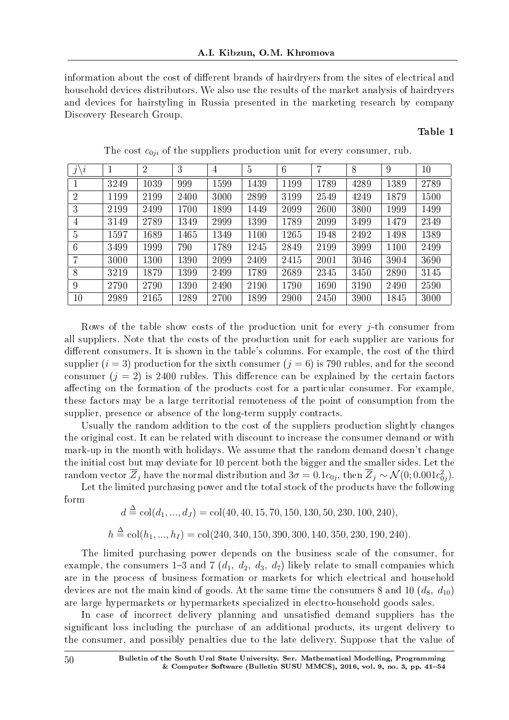information about the cost of different brands of hairdryers from the sites of electrical and household devices distributors. We also use the results of the market analysis of hairdryers and devices for hairstyling in Russia presented in the marketing research by company Discovery Research Group.

#### Table 1

| $\imath$<br>$\mathcal{I}$ |      | $\overline{2}$ | 3    | $\overline{4}$ | $\overline{5}$ | 6    | 7    | 8    | 9    | 10   |
|---------------------------|------|----------------|------|----------------|----------------|------|------|------|------|------|
|                           | 3249 | 1039           | 999  | 1599           | 1439           | 1199 | 1789 | 4289 | 1389 | 2789 |
| $\overline{2}$            | 1199 | 2199           | 2400 | 3000           | 2899           | 3199 | 2549 | 4249 | 1879 | 1500 |
| 3                         | 2199 | 2499           | 1700 | 1899           | 1449           | 2099 | 2600 | 3800 | 1999 | 1499 |
| 4                         | 3149 | 2789           | 1349 | 2999           | 1399           | 1789 | 2099 | 3499 | 1479 | 2349 |
| $\overline{5}$            | 1597 | 1689           | 1465 | 1349           | 1100           | 1265 | 1948 | 2492 | 1498 | 1389 |
| 6                         | 3499 | 1999           | 790  | 1789           | 1245           | 2849 | 2199 | 3999 | 1100 | 2499 |
| 7                         | 3000 | 1300           | 1390 | 2099           | 2409           | 2415 | 2001 | 3046 | 3904 | 3690 |
| 8                         | 3219 | 1879           | 1399 | 2499           | 1789           | 2689 | 2345 | 3450 | 2890 | 3145 |
| 9                         | 2790 | 2790           | 1390 | 2490           | 2190           | 1790 | 1690 | 3190 | 2490 | 2590 |
| 10                        | 2989 | 2165           | 1289 | 2700           | 1899           | 2900 | 2450 | 3900 | 1845 | 3000 |

The cost  $c_{0ji}$  of the suppliers production unit for every consumer, rub.

Rows of the table show costs of the production unit for every *j*-th consumer from all suppliers. Note that the costs of the production unit for each supplier are various for different consumers. It is shown in the table's columns. For example, the cost of the third supplier  $(i = 3)$  production for the sixth consumer  $(j = 6)$  is 790 rubles, and for the second consumer  $(j = 2)$  is 2400 rubles. This difference can be explained by the certain factors affecting on the formation of the products cost for a particular consumer. For example, these factors may be a large territorial remoteness of the point of consumption from the supplier, presence or absence of the long-term supply contracts.

Usually the random addition to the cost of the suppliers production slightly changes the original cost. It can be related with discount to increase the consumer demand or with mark-up in the month with holidays. We assume that the random demand doesn't change the initial cost but may deviate for 10 percent both the bigger and the smaller sides. Let the  $\tau$  random vector  $\overline{Z}_j$  have the normal distribution and  $3\sigma=0.1c_{0j},$  then  $\overline{Z}_j\sim\mathcal{N}(0;0.001c_{0j}^2).$ 

Let the limited purchasing power and the total stock of the products have the following form

$$
d \stackrel{\Delta}{=} \text{col}(d_1, ..., d_J) = \text{col}(40, 40, 15, 70, 150, 130, 50, 230, 100, 240),
$$
  

$$
h \stackrel{\Delta}{=} \text{col}(h_1, ..., h_I) = \text{col}(240, 340, 150, 390, 300, 140, 350, 230, 190, 240)
$$

The limited purchasing power depends on the business scale of the consumer, for example, the consumers 1-3 and 7  $(d_1, d_2, d_3, d_7)$  likely relate to small companies which are in the process of business formation or markets for which electrical and household devices are not the main kind of goods. At the same time the consumers 8 and 10  $(d_8, d_{10})$ are large hypermarkets or hypermarkets specialized in electro-household goods sales.

In case of incorrect delivery planning and unsatisfied demand suppliers has the significant loss including the purchase of an additional products, its urgent delivery to the consumer, and possibly penalties due to the late delivery. Suppose that the value of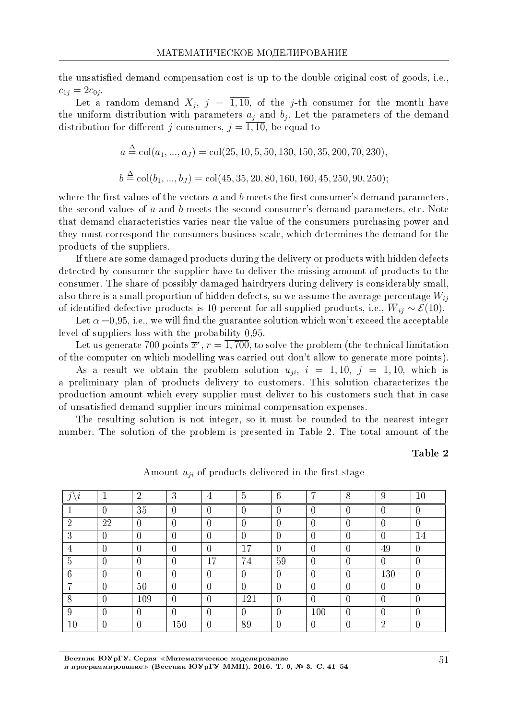the unsatisfied demand compensation cost is up to the double original cost of goods, i.e.,  $c_{1j} = 2c_{0j}$ .

Let a random demand  $X_j$ ,  $j = \overline{1, 10}$ , of the *j*-th consumer for the month have the uniform distribution with parameters  $a_j$  and  $b_j$ . Let the parameters of the demand distribution for different *j* consumers,  $j = \overline{1, 10}$ , be equal to

$$
a \stackrel{\Delta}{=} \text{col}(a_1, ..., a_J) = \text{col}(25, 10, 5, 50, 130, 150, 35, 200, 70, 230),
$$
  

$$
b \stackrel{\Delta}{=} \text{col}(b_1, ..., b_J) = \text{col}(45, 35, 20, 80, 160, 160, 45, 250, 90, 250);
$$

where the first values of the vectors  $a$  and  $b$  meets the first consumer's demand parameters. the second values of *a* and *b* meets the second consumer's demand parameters, etc. Note that demand characteristics varies near the value of the consumers purchasing power and they must correspond the consumers business scale, which determines the demand for the products of the suppliers.

If there are some damaged products during the delivery or products with hidden defects detected by consumer the supplier have to deliver the missing amount of products to the consumer. The share of possibly damaged hairdryers during delivery is considerably small, also there is a small proportion of hidden defects, so we assume the average percentage *Wij* of identified defective products is 10 percent for all supplied products, i.e.,  $\overline{W}_{ij} \sim \mathcal{E}(10)$ .

Let  $\alpha = 0.95$ , i.e., we will find the guarantee solution which won't exceed the acceptable level of suppliers loss with the probability 0,95.

Let us generate 700 points  $\overline{x}^r$ ,  $r = \overline{1,700}$ , to solve the problem (the technical limitation of the computer on which modelling was carried out don't allow to generate more points).

As a result we obtain the problem solution  $u_{ji}$ ,  $i = \overline{1, 10}$ ,  $j = \overline{1, 10}$ , which is a preliminary plan of products delivery to customers. This solution characterizes the production amount which every supplier must deliver to his customers such that in case of unsatised demand supplier incurs minimal compensation expenses.

The resulting solution is not integer, so it must be rounded to the nearest integer number. The solution of the problem is presented in Table 2. The total amount of the

### Table 2

| $\imath$<br>$\alpha$ |                | $\overline{2}$ | 3              | 4              | $\overline{5}$ | 6              | 7                | 8              | 9              | 10               |
|----------------------|----------------|----------------|----------------|----------------|----------------|----------------|------------------|----------------|----------------|------------------|
|                      | $\overline{0}$ | 35             | $\overline{0}$ | $\overline{0}$ | $\overline{0}$ | $\overline{0}$ | U                | $\overline{0}$ | $\theta$       | $\overline{0}$   |
| $\overline{2}$       | 22             | $\overline{0}$ | $\overline{0}$ | $\overline{0}$ | $\overline{0}$ | $\overline{0}$ |                  | $\overline{0}$ | $\theta$       | $\overline{0}$   |
| 3                    | $\overline{0}$ | 0              | $\overline{0}$ | $\overline{0}$ | $\theta$       | $\overline{0}$ | 0                | $\overline{0}$ | $\theta$       | 14               |
| 4                    | $\overline{0}$ | $\overline{0}$ | $\overline{0}$ | $\overline{0}$ | 17             | $\overline{0}$ | 0                | $\overline{0}$ | 49             | $\overline{0}$   |
| $\overline{5}$       | $\overline{0}$ | 0              | $\overline{0}$ | 17             | 74             | 59             | 0                | $\theta$       | $\overline{0}$ | $\overline{0}$   |
| $6\phantom{.}6$      | $\overline{0}$ | 0              | $\overline{0}$ | $\theta$       | $\overline{0}$ | $\overline{0}$ | 0                | $\overline{0}$ | 130            | $\overline{0}$   |
| $\overline{ }$       | $\overline{0}$ | 50             | $\overline{0}$ | $\overline{0}$ | $\overline{0}$ | $\overline{0}$ | $\Omega$         | $\overline{0}$ | $\theta$       | $\overline{0}$   |
| 8                    | $\overline{0}$ | 109            | $\overline{0}$ | $\overline{0}$ | 121            | $\overline{0}$ | $\left( \right)$ | $\overline{0}$ | 0              | $\left( \right)$ |
| 9                    | $\overline{0}$ | 0              | $\overline{0}$ | $\overline{0}$ | $\overline{0}$ | $\overline{0}$ | 100              | $\overline{0}$ | 0              | $\overline{0}$   |
| 10                   | $\theta$       | 0              | 150            | $\overline{0}$ | 89             | $\overline{0}$ | 0                | $\theta$       | $\overline{2}$ | $\theta$         |

Amount  $u_{ji}$  of products delivered in the first stage

Вестник ЮУрГУ. Серия «Математическое моделирование и программирование≫ (Вестник ЮУрГУ ММП). 2016. Т. 9, № 3. C. 41–54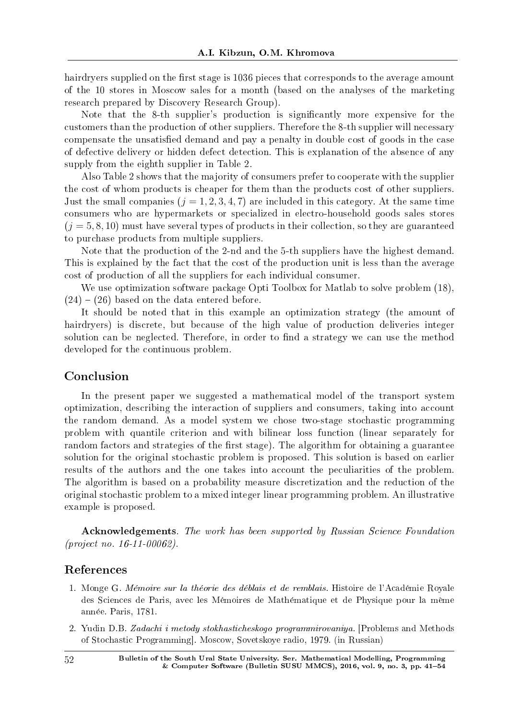hairdryers supplied on the first stage is 1036 pieces that corresponds to the average amount of the 10 stores in Moscow sales for a month (based on the analyses of the marketing research prepared by Discovery Research Group).

Note that the 8-th supplier's production is significantly more expensive for the customers than the production of other suppliers. Therefore the 8-th supplier will necessary compensate the unsatisfied demand and pay a penalty in double cost of goods in the case of defective delivery or hidden defect detection. This is explanation of the absence of any supply from the eighth supplier in Table 2.

Also Table 2 shows that the majority of consumers prefer to cooperate with the supplier the cost of whom products is cheaper for them than the products cost of other suppliers. Just the small companies  $(i = 1, 2, 3, 4, 7)$  are included in this category. At the same time consumers who are hypermarkets or specialized in electro-household goods sales stores  $(i = 5, 8, 10)$  must have several types of products in their collection, so they are guaranteed to purchase products from multiple suppliers.

Note that the production of the 2-nd and the 5-th suppliers have the highest demand. This is explained by the fact that the cost of the production unit is less than the average cost of production of all the suppliers for each individual consumer.

We use optimization software package Opti Toolbox for Matlab to solve problem  $(18)$ ,  $(24) - (26)$  based on the data entered before.

It should be noted that in this example an optimization strategy (the amount of hairdryers) is discrete, but because of the high value of production deliveries integer solution can be neglected. Therefore, in order to find a strategy we can use the method developed for the continuous problem.

## Conclusion

In the present paper we suggested a mathematical model of the transport system optimization, describing the interaction of suppliers and consumers, taking into account the random demand. As a model system we chose two-stage stochastic programming problem with quantile criterion and with bilinear loss function (linear separately for random factors and strategies of the first stage). The algorithm for obtaining a guarantee solution for the original stochastic problem is proposed. This solution is based on earlier results of the authors and the one takes into account the peculiarities of the problem. The algorithm is based on a probability measure discretization and the reduction of the original stochastic problem to a mixed integer linear programming problem. An illustrative example is proposed.

Acknowledgements. The work has been supported by Russian Science Foundation (project no. 16-11-00062).

## References

- 1. Monge G. Memoire sur la theorie des deblais et de remblais. Histoire de l'Academie Royale des Sciences de Paris, avec les Mémoires de Mathématique et de Physique pour la même annee. Paris, 1781.
- 2. Yudin D.B. Zadachi i metody stokhasticheskogo programmirovaniya. [Problems and Methods of Stochastic Programming]. Moscow, Sovetskoye radio, 1979. (in Russian)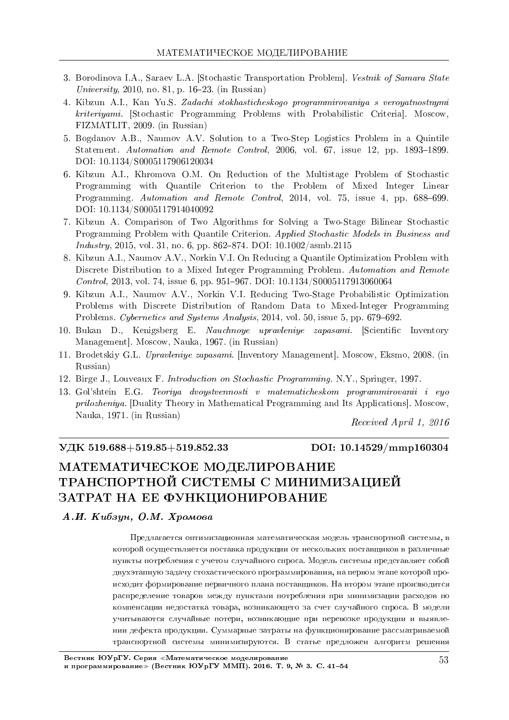- 3. Borodinova I.A., Saraev L.A. [Stochastic Transportation Problem]. Vestnik of Samara State University, 2010, no. 81, p. 16–23. (in Russian)
- 4. Kibzun A.I., Kan Yu.S. Zadachi stokhasticheskogo programmirovaniya s veroyatnostnymi kriteriyami. [Stochastic Programming Problems with Probabilistic Criteria]. Moscow, FIZMATLIT, 2009. (in Russian)
- 5. Bogdanov A.B., Naumov A.V. Solution to a Two-Step Logistics Problem in a Quintile Statement. Automation and Remote Control, 2006, vol. 67, issue 12, pp. 1893–1899. DOI: 10.1134/S0005117906120034
- 6. Kibzun A.I., Khromova O.M. On Reduction of the Multistage Problem of Stochastic Programming with Quantile Criterion to the Problem of Mixed Integer Linear Programming. Automation and Remote Control, 2014, vol. 75, issue 4, pp. 688–699. DOI: 10.1134/S0005117914040092
- 7. Kibzun A. Comparison of Two Algorithms for Solving a Two-Stage Bilinear Stochastic Programming Problem with Quantile Criterion. Applied Stochastic Models in Business and  $Industry, 2015, vol. 31, no. 6, pp. 862–874. DOI: 10.1002/asmb.2115$
- 8. Kibzun A.I., Naumov A.V., Norkin V.I. On Reducing a Quantile Optimization Problem with Discrete Distribution to a Mixed Integer Programming Problem. Automation and Remote Control, 2013, vol. 74, issue 6, pp. 951-967. DOI: 10.1134/S0005117913060064
- 9. Kibzun A.I., Naumov A.V., Norkin V.I. Reducing Two-Stage Probabilistic Optimization Problems with Discrete Distribution of Random Data to Mixed-Integer Programming Problems. Cybernetics and Systems Analysis, 2014, vol. 50, issue 5, pp. 679–692.
- 10. Bukan D., Kenigsberg E. Nauchnoye upravleniye zapasami. [Scientific Inventory Management]. Moscow, Nauka, 1967. (in Russian)
- 11. Brodetskiy G.L. Upravleniye zapasami. [Inventory Management]. Moscow, Eksmo, 2008. (in Russian)
- 12. Birge J., Louveaux F. Introduction on Stochastic Programming. N.Y., Springer, 1997.
- 13. Gol'shtein E.G. Teoriya dvoystvennosti v matematicheskom programmirovanii i eyo prilozheniya. [Duality Theory in Mathematical Programming and Its Applications]. Moscow, Nauka, 1971. (in Russian)

Received April 1, 2016

### VДК 519.688+519.85+519.852.33 DOI: 10.14529/mmp160304

# МАТЕМАТИЧЕСКОЕ МОДЕЛИРОВАНИЕ ТРАНСПОРТНОЙ СИСТЕМЫ С МИНИМИЗАЦИЕЙ ЗАТРАТ НА ЕЕ ФУНКЦИОНИРОВАНИЕ

#### $A.H.$  Кибзун, О.М. Хромова

Предлагается оптимизационная математическая модель транспортной системы, в которой осуществляется поставка продукции от нескольких поставщиков в различные пункты потребления с учетом случайного спроса. Модель системы представляет собой двухэтапную задачу стохастического программирования, на первом этапе которой происходит формирование первичного плана поставщиков. На втором этапе производится распределение товаров между пунктами потребления при минимизации расходов по компенсации недостатка товара, возникающего за счет случайного спроса. В модели учитываются случайные потери, возникающие при перевозке продукции и выявлении дефекта продукции. Суммарные затраты на функционирование рассматриваемой транспортной системы минимизируются. В статье прелложен алгоритм решения